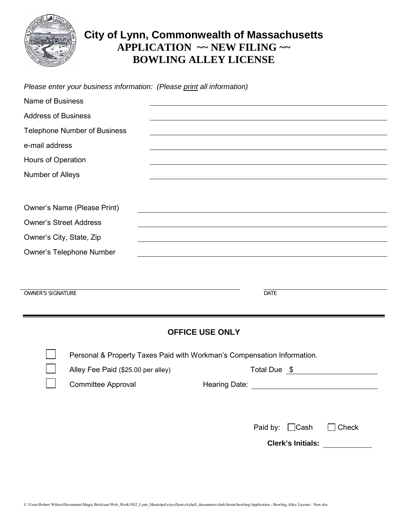

# **City of Lynn, Commonwealth of Massachusetts APPLICATION ~~ NEW FILING ~~ BOWLING ALLEY LICENSE**

|                                                                        | <b>OFFICE USE ONLY</b> |             |
|------------------------------------------------------------------------|------------------------|-------------|
| <b>OWNER'S SIGNATURE</b>                                               |                        | <b>DATE</b> |
|                                                                        |                        |             |
| <b>Owner's Telephone Number</b>                                        |                        |             |
| Owner's City, State, Zip                                               |                        |             |
| <b>Owner's Street Address</b>                                          |                        |             |
| Owner's Name (Please Print)                                            |                        |             |
| Number of Alleys                                                       |                        |             |
| Hours of Operation                                                     |                        |             |
| e-mail address                                                         |                        |             |
| <b>Telephone Number of Business</b>                                    |                        |             |
| <b>Address of Business</b>                                             |                        |             |
| Name of Business                                                       |                        |             |
| Please enter your business information: (Please print all information) |                        |             |

Personal & Property Taxes Paid with Workman's Compensation Information.

| Alley Fee Paid (\$25.00 per alley) | Total Due<br>-\$ |
|------------------------------------|------------------|
| <b>Committee Approval</b>          | Hearing Date:    |
|                                    |                  |
|                                    |                  |
|                                    |                  |

Paid by: Cash Check

**Clerk's Initials:**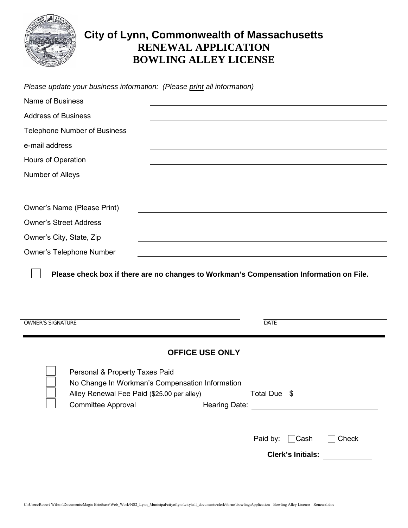

# **City of Lynn, Commonwealth of Massachusetts RENEWAL APPLICATION BOWLING ALLEY LICENSE**

| Please check box if there are no changes to Workman's Compensation Information on File. |
|-----------------------------------------------------------------------------------------|
|                                                                                         |
|                                                                                         |
|                                                                                         |
|                                                                                         |
|                                                                                         |
|                                                                                         |
|                                                                                         |
|                                                                                         |
|                                                                                         |
|                                                                                         |
| <b>DATE</b>                                                                             |
|                                                                                         |
| Total Due \$                                                                            |
|                                                                                         |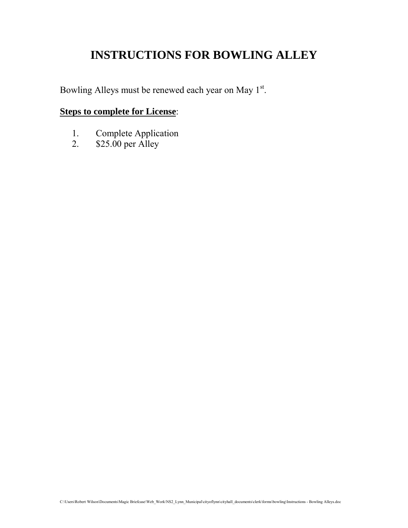# **INSTRUCTIONS FOR BOWLING ALLEY**

Bowling Alleys must be renewed each year on May 1st.

## **Steps to complete for License**:

- 1. Complete Application<br>2. \$25.00 per Alley
- \$25.00 per Alley